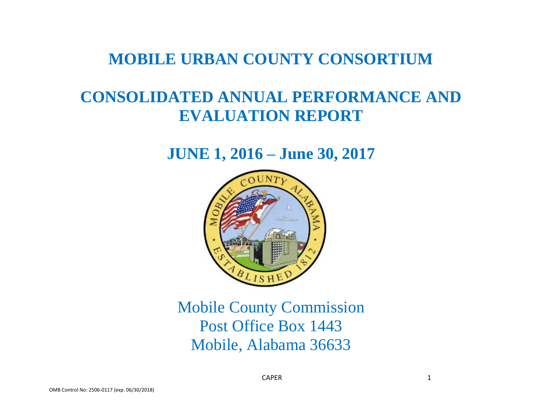## **MOBILE URBAN COUNTY CONSORTIUM**

# **CONSOLIDATED ANNUAL PERFORMANCE AND EVALUATION REPORT**

## **JUNE 1, 2016 – June 30, 2017**



Mobile County Commission Post Office Box 1443 Mobile, Alabama 36633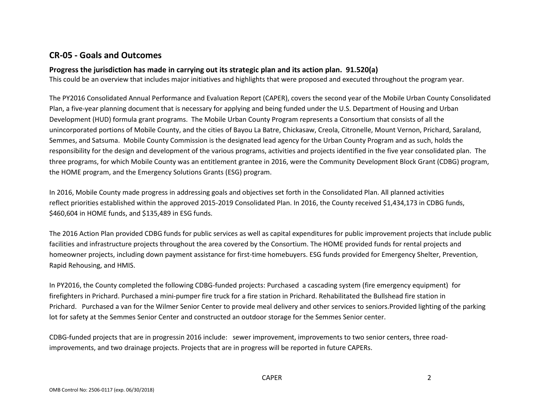### **CR-05 - Goals and Outcomes**

### **Progress the jurisdiction has made in carrying out its strategic plan and its action plan. 91.520(a)**

This could be an overview that includes major initiatives and highlights that were proposed and executed throughout the program year.

The PY2016 Consolidated Annual Performance and Evaluation Report (CAPER), covers the second year of the Mobile Urban County Consolidated Plan, a five-year planning document that is necessary for applying and being funded under the U.S. Department of Housing and Urban Development (HUD) formula grant programs. The Mobile Urban County Program represents a Consortium that consists of all the unincorporated portions of Mobile County, and the cities of Bayou La Batre, Chickasaw, Creola, Citronelle, Mount Vernon, Prichard, Saraland, Semmes, and Satsuma. Mobile County Commission is the designated lead agency for the Urban County Program and as such, holds the responsibility for the design and development of the various programs, activities and projects identified in the five year consolidated plan. The three programs, for which Mobile County was an entitlement grantee in 2016, were the Community Development Block Grant (CDBG) program, the HOME program, and the Emergency Solutions Grants (ESG) program.

In 2016, Mobile County made progress in addressing goals and objectives set forth in the Consolidated Plan. All planned activities reflect priorities established within the approved 2015-2019 Consolidated Plan. In 2016, the County received \$1,434,173 in CDBG funds, \$460,604 in HOME funds, and \$135,489 in ESG funds.

The 2016 Action Plan provided CDBG funds for public services as well as capital expenditures for public improvement projects that include public facilities and infrastructure projects throughout the area covered by the Consortium. The HOME provided funds for rental projects and homeowner projects, including down payment assistance for first-time homebuyers. ESG funds provided for Emergency Shelter, Prevention, Rapid Rehousing, and HMIS.

In PY2016, the County completed the following CDBG-funded projects: Purchased a cascading system (fire emergency equipment) for firefighters in Prichard. Purchased a mini-pumper fire truck for a fire station in Prichard. Rehabilitated the Bullshead fire station in Prichard. Purchased a van for the Wilmer Senior Center to provide meal delivery and other services to seniors.Provided lighting of the parking lot for safety at the Semmes Senior Center and constructed an outdoor storage for the Semmes Senior center.

CDBG-funded projects that are in progressin 2016 include: sewer improvement, improvements to two senior centers, three roadimprovements, and two drainage projects. Projects that are in progress will be reported in future CAPERs.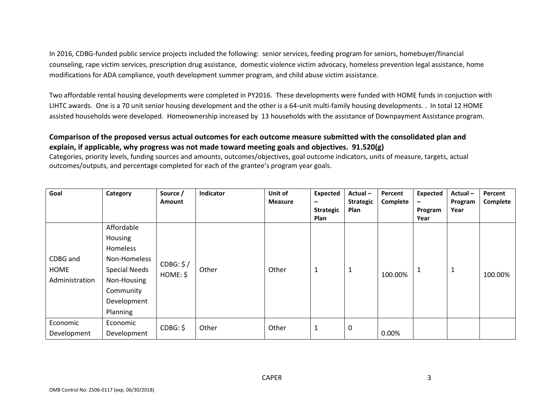In 2016, CDBG-funded public service projects included the following: senior services, feeding program for seniors, homebuyer/financial counseling, rape victim services, prescription drug assistance, domestic violence victim advocacy, homeless prevention legal assistance, home modifications for ADA compliance, youth development summer program, and child abuse victim assistance.

Two affordable rental housing developments were completed in PY2016. These developments were funded with HOME funds in conjuction with LIHTC awards. One is a 70 unit senior housing development and the other is a 64-unit multi-family housing developments. . In total 12 HOME assisted households were developed. Homeownership increased by 13 households with the assistance of Downpayment Assistance program.

### **Comparison of the proposed versus actual outcomes for each outcome measure submitted with the consolidated plan and explain, if applicable, why progress was not made toward meeting goals and objectives. 91.520(g)**

Categories, priority levels, funding sources and amounts, outcomes/objectives, goal outcome indicators, units of measure, targets, actual outcomes/outputs, and percentage completed for each of the grantee's program year goals.

| Goal                               | Category                                                                                                                         | Source /<br>Amount    | Indicator | Unit of<br><b>Measure</b> | <b>Expected</b><br>-     | Actual-<br><b>Strategic</b> | Percent<br>Complete | <b>Expected</b><br>$\qquad \qquad -$ | Actual-<br>Program | Percent<br>Complete |
|------------------------------------|----------------------------------------------------------------------------------------------------------------------------------|-----------------------|-----------|---------------------------|--------------------------|-----------------------------|---------------------|--------------------------------------|--------------------|---------------------|
|                                    |                                                                                                                                  |                       |           |                           | <b>Strategic</b><br>Plan | Plan                        |                     | Program<br>Year                      | Year               |                     |
| CDBG and<br>HOME<br>Administration | Affordable<br>Housing<br>Homeless<br>Non-Homeless<br><b>Special Needs</b><br>Non-Housing<br>Community<br>Development<br>Planning | CDBG: \$/<br>HOME: \$ | Other     | Other                     | 1                        | $\mathbf{1}$                | 100.00%             | 1                                    | L,                 | 100.00%             |
| Economic<br>Development            | Economic<br>Development                                                                                                          | CDBG: \$              | Other     | Other                     | 1                        | $\boldsymbol{0}$            | 0.00%               |                                      |                    |                     |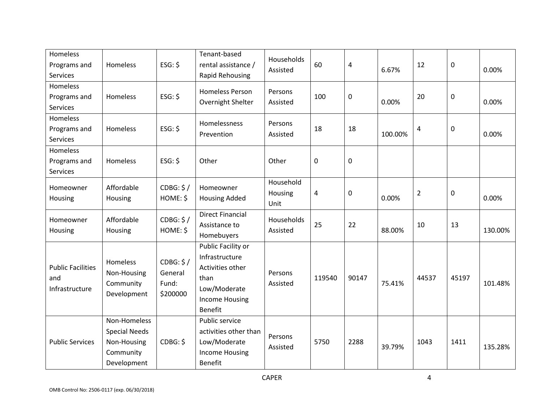| <b>Homeless</b><br>Programs and<br>Services       | Homeless                                                                        | $ESG:$ \$                                 | Tenant-based<br>rental assistance /<br>Rapid Rehousing                                                                      | Households<br>Assisted       | 60          | 4         | 6.67%   | 12             | $\pmb{0}$        | 0.00%   |
|---------------------------------------------------|---------------------------------------------------------------------------------|-------------------------------------------|-----------------------------------------------------------------------------------------------------------------------------|------------------------------|-------------|-----------|---------|----------------|------------------|---------|
| Homeless<br>Programs and<br>Services              | Homeless                                                                        | $ESG:$ \$                                 | <b>Homeless Person</b><br>Overnight Shelter                                                                                 | Persons<br>Assisted          | 100         | 0         | 0.00%   | 20             | $\mathbf 0$      | 0.00%   |
| Homeless<br>Programs and<br>Services              | Homeless                                                                        | ESG: \$                                   | Homelessness<br>Prevention                                                                                                  | Persons<br>Assisted          | 18          | 18        | 100.00% | 4              | $\mathbf 0$      | 0.00%   |
| Homeless<br>Programs and<br>Services              | Homeless                                                                        | $ESG:$ \$                                 | Other                                                                                                                       | Other                        | $\mathbf 0$ | $\pmb{0}$ |         |                |                  |         |
| Homeowner<br>Housing                              | Affordable<br>Housing                                                           | CDBG: \$/<br>HOME: \$                     | Homeowner<br><b>Housing Added</b>                                                                                           | Household<br>Housing<br>Unit | 4           | 0         | 0.00%   | $\overline{2}$ | $\boldsymbol{0}$ | 0.00%   |
| Homeowner<br>Housing                              | Affordable<br>Housing                                                           | CDBG: \$/<br>HOME: \$                     | <b>Direct Financial</b><br>Assistance to<br>Homebuyers                                                                      | Households<br>Assisted       | 25          | 22        | 88.00%  | 10             | 13               | 130.00% |
| <b>Public Facilities</b><br>and<br>Infrastructure | Homeless<br>Non-Housing<br>Community<br>Development                             | CDBG: \$/<br>General<br>Fund:<br>\$200000 | Public Facility or<br>Infrastructure<br>Activities other<br>than<br>Low/Moderate<br><b>Income Housing</b><br><b>Benefit</b> | Persons<br>Assisted          | 119540      | 90147     | 75.41%  | 44537          | 45197            | 101.48% |
| <b>Public Services</b>                            | Non-Homeless<br><b>Special Needs</b><br>Non-Housing<br>Community<br>Development | CDBG: \$                                  | Public service<br>activities other than<br>Low/Moderate<br><b>Income Housing</b><br><b>Benefit</b>                          | Persons<br>Assisted          | 5750        | 2288      | 39.79%  | 1043           | 1411             | 135.28% |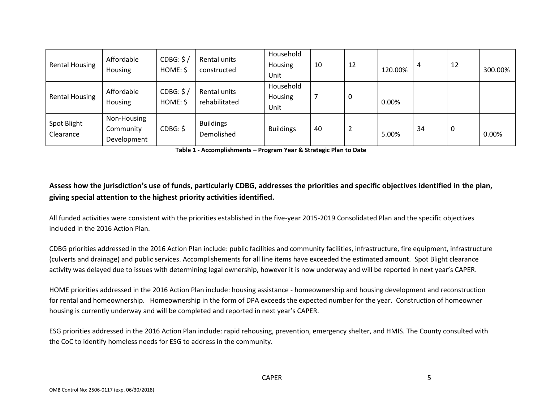| <b>Rental Housing</b>    | Affordable<br><b>Housing</b>            | CDBG: \$/<br>HOME: \$ | Rental units<br>constructed    | Household<br>Housing<br>Unit | 10 | 12             | 120.00% | 4  | 12 | 300.00% |
|--------------------------|-----------------------------------------|-----------------------|--------------------------------|------------------------------|----|----------------|---------|----|----|---------|
| <b>Rental Housing</b>    | Affordable<br><b>Housing</b>            | CDBG: \$/<br>HOME: \$ | Rental units<br>rehabilitated  | Household<br>Housing<br>Unit |    | 0              | 0.00%   |    |    |         |
| Spot Blight<br>Clearance | Non-Housing<br>Community<br>Development | CDBG: \$              | <b>Buildings</b><br>Demolished | <b>Buildings</b>             | 40 | $\overline{2}$ | 5.00%   | 34 | U  | 0.00%   |

**Table 1 - Accomplishments – Program Year & Strategic Plan to Date**

### **Assess how the jurisdiction's use of funds, particularly CDBG, addresses the priorities and specific objectives identified in the plan, giving special attention to the highest priority activities identified.**

All funded activities were consistent with the priorities established in the five-year 2015-2019 Consolidated Plan and the specific objectives included in the 2016 Action Plan.

CDBG priorities addressed in the 2016 Action Plan include: public facilities and community facilities, infrastructure, fire equipment, infrastructure (culverts and drainage) and public services. Accomplishements for all line items have exceeded the estimated amount. Spot Blight clearance activity was delayed due to issues with determining legal ownership, however it is now underway and will be reported in next year's CAPER.

HOME priorities addressed in the 2016 Action Plan include: housing assistance - homeownership and housing development and reconstruction for rental and homeownership. Homeownership in the form of DPA exceeds the expected number for the year. Construction of homeowner housing is currently underway and will be completed and reported in next year's CAPER.

ESG priorities addressed in the 2016 Action Plan include: rapid rehousing, prevention, emergency shelter, and HMIS. The County consulted with the CoC to identify homeless needs for ESG to address in the community.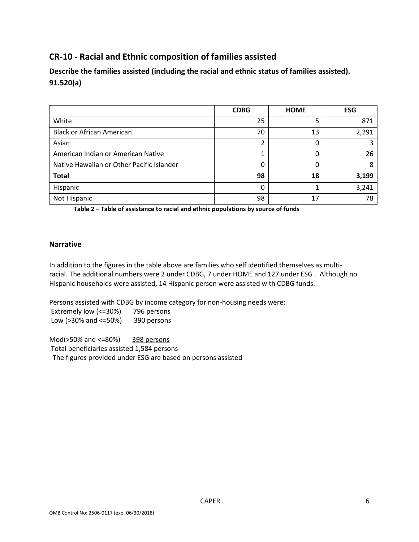### **CR-10 - Racial and Ethnic composition of families assisted**

**Describe the families assisted (including the racial and ethnic status of families assisted). 91.520(a)** 

|                                           | <b>CDBG</b> | <b>HOME</b> | <b>ESG</b> |
|-------------------------------------------|-------------|-------------|------------|
| White                                     | 25          |             | 871        |
| <b>Black or African American</b>          | 70          | 13          | 2,291      |
| Asian                                     | ┑           |             |            |
| American Indian or American Native        |             | 0           | 26         |
| Native Hawaiian or Other Pacific Islander | 0           | 0           | 8          |
| <b>Total</b>                              | 98          | 18          | 3,199      |
| Hispanic                                  | 0           |             | 3,241      |
| Not Hispanic                              | 98          | 17          | 78         |

**Table 2 – Table of assistance to racial and ethnic populations by source of funds**

### **Narrative**

In addition to the figures in the table above are families who self identified themselves as multiracial. The additional numbers were 2 under CDBG, 7 under HOME and 127 under ESG . Although no Hispanic households were assisted, 14 Hispanic person were assisted with CDBG funds.

Persons assisted with CDBG by income category for non-housing needs were: Extremely low (<=30%) 796 persons

Low (>30% and <=50%) 390 persons

Mod(>50% and <=80%) 398 persons Total beneficiaries assisted 1,584 persons The figures provided under ESG are based on persons assisted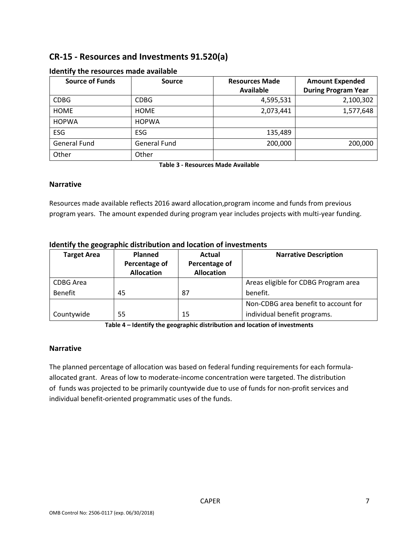### **CR-15 - Resources and Investments 91.520(a)**

| <b>Source of Funds</b> | <b>Source</b>       | <b>Resources Made</b> | <b>Amount Expended</b>     |
|------------------------|---------------------|-----------------------|----------------------------|
|                        |                     | <b>Available</b>      | <b>During Program Year</b> |
| <b>CDBG</b>            | <b>CDBG</b>         | 4,595,531             | 2,100,302                  |
| <b>HOME</b>            | <b>HOME</b>         | 2,073,441             | 1,577,648                  |
| <b>HOPWA</b>           | <b>HOPWA</b>        |                       |                            |
| ESG                    | ESG                 | 135,489               |                            |
| <b>General Fund</b>    | <b>General Fund</b> | 200,000               | 200,000                    |
| Other                  | Other               |                       |                            |

### **Identify the resources made available**

**Table 3 - Resources Made Available**

### **Narrative**

Resources made available reflects 2016 award allocation,program income and funds from previous program years. The amount expended during program year includes projects with multi-year funding.

| <b>Target Area</b> | Planned<br>Percentage of<br><b>Allocation</b> | Actual<br>Percentage of<br><b>Allocation</b> | <b>Narrative Description</b>         |
|--------------------|-----------------------------------------------|----------------------------------------------|--------------------------------------|
| CDBG Area          |                                               |                                              | Areas eligible for CDBG Program area |
| <b>Benefit</b>     | 45                                            | 87                                           | benefit.                             |
|                    |                                               |                                              | Non-CDBG area benefit to account for |
| Countywide         | 55                                            | 15                                           | individual benefit programs.         |

### **Identify the geographic distribution and location of investments**

**Table 4 – Identify the geographic distribution and location of investments**

### **Narrative**

The planned percentage of allocation was based on federal funding requirements for each formulaallocated grant. Areas of low to moderate-income concentration were targeted. The distribution of funds was projected to be primarily countywide due to use of funds for non-profit services and individual benefit-oriented programmatic uses of the funds.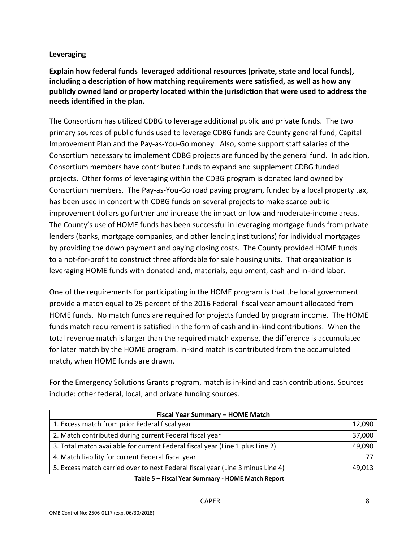### **Leveraging**

**Explain how federal funds leveraged additional resources (private, state and local funds), including a description of how matching requirements were satisfied, as well as how any publicly owned land or property located within the jurisdiction that were used to address the needs identified in the plan.**

The Consortium has utilized CDBG to leverage additional public and private funds. The two primary sources of public funds used to leverage CDBG funds are County general fund, Capital Improvement Plan and the Pay-as-You-Go money. Also, some support staff salaries of the Consortium necessary to implement CDBG projects are funded by the general fund. In addition, Consortium members have contributed funds to expand and supplement CDBG funded projects. Other forms of leveraging within the CDBG program is donated land owned by Consortium members. The Pay-as-You-Go road paving program, funded by a local property tax, has been used in concert with CDBG funds on several projects to make scarce public improvement dollars go further and increase the impact on low and moderate-income areas. The County's use of HOME funds has been successful in leveraging mortgage funds from private lenders (banks, mortgage companies, and other lending institutions) for individual mortgages by providing the down payment and paying closing costs. The County provided HOME funds to a not-for-profit to construct three affordable for sale housing units. That organization is leveraging HOME funds with donated land, materials, equipment, cash and in-kind labor.

One of the requirements for participating in the HOME program is that the local government provide a match equal to 25 percent of the 2016 Federal fiscal year amount allocated from HOME funds. No match funds are required for projects funded by program income. The HOME funds match requirement is satisfied in the form of cash and in-kind contributions. When the total revenue match is larger than the required match expense, the difference is accumulated for later match by the HOME program. In-kind match is contributed from the accumulated match, when HOME funds are drawn.

For the Emergency Solutions Grants program, match is in-kind and cash contributions. Sources include: other federal, local, and private funding sources.

| Fiscal Year Summary - HOME Match                                               |        |  |  |  |  |
|--------------------------------------------------------------------------------|--------|--|--|--|--|
| 1. Excess match from prior Federal fiscal year                                 | 12,090 |  |  |  |  |
| 2. Match contributed during current Federal fiscal year                        | 37,000 |  |  |  |  |
| 3. Total match available for current Federal fiscal year (Line 1 plus Line 2)  | 49,090 |  |  |  |  |
| 4. Match liability for current Federal fiscal year                             |        |  |  |  |  |
| 5. Excess match carried over to next Federal fiscal year (Line 3 minus Line 4) | 49,013 |  |  |  |  |

**Table 5 – Fiscal Year Summary - HOME Match Report**

#### CAPER 8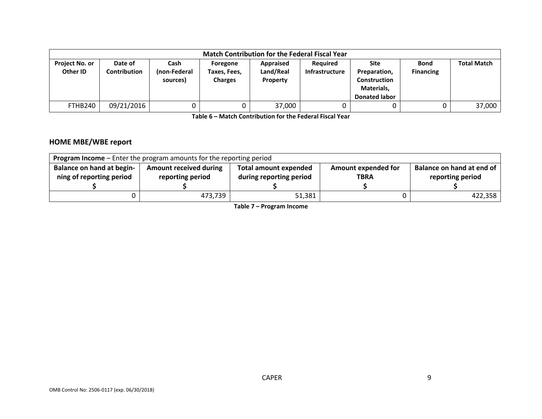| <b>Match Contribution for the Federal Fiscal Year</b> |                         |                                  |                                            |                                           |                                          |                                                                                   |                                 |                    |
|-------------------------------------------------------|-------------------------|----------------------------------|--------------------------------------------|-------------------------------------------|------------------------------------------|-----------------------------------------------------------------------------------|---------------------------------|--------------------|
| Project No. or<br>Other ID                            | Date of<br>Contribution | Cash<br>(non-Federal<br>sources) | Foregone<br>Taxes, Fees,<br><b>Charges</b> | Appraised<br>Land/Real<br><b>Property</b> | <b>Required</b><br><b>Infrastructure</b> | Site<br>Preparation,<br><b>Construction</b><br>Materials,<br><b>Donated labor</b> | <b>Bond</b><br><b>Financing</b> | <b>Total Match</b> |
| FTHB240                                               | 09/21/2016              |                                  |                                            | 37,000                                    |                                          |                                                                                   |                                 | 37,000             |

**Table 6 – Match Contribution for the Federal Fiscal Year**

### **HOME MBE/WBE report**

| <b>Program Income</b> - Enter the program amounts for the reporting period |                                                                                                                   |        |  |         |  |  |  |
|----------------------------------------------------------------------------|-------------------------------------------------------------------------------------------------------------------|--------|--|---------|--|--|--|
| <b>Balance on hand at begin-</b>                                           | Balance on hand at end of<br><b>Amount received during</b><br>Amount expended for<br><b>Total amount expended</b> |        |  |         |  |  |  |
| ning of reporting period                                                   | during reporting period<br>reporting period<br>reporting period<br><b>TBRA</b>                                    |        |  |         |  |  |  |
|                                                                            |                                                                                                                   |        |  |         |  |  |  |
|                                                                            | 473,739                                                                                                           | 51,381 |  | 422,358 |  |  |  |

**Table 7 – Program Income**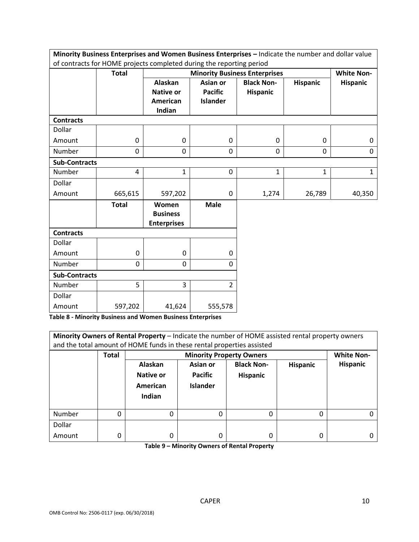| Minority Business Enterprises and Women Business Enterprises - Indicate the number and dollar value |              |                                                |                                      |                   |                 |                 |  |  |
|-----------------------------------------------------------------------------------------------------|--------------|------------------------------------------------|--------------------------------------|-------------------|-----------------|-----------------|--|--|
| of contracts for HOME projects completed during the reporting period<br><b>White Non-</b>           |              |                                                |                                      |                   |                 |                 |  |  |
|                                                                                                     | <b>Total</b> |                                                | <b>Minority Business Enterprises</b> |                   |                 |                 |  |  |
|                                                                                                     |              | Alaskan                                        | <b>Asian or</b>                      | <b>Black Non-</b> | <b>Hispanic</b> | <b>Hispanic</b> |  |  |
|                                                                                                     |              | <b>Native or</b>                               | <b>Pacific</b>                       | Hispanic          |                 |                 |  |  |
|                                                                                                     |              | <b>American</b>                                | <b>Islander</b>                      |                   |                 |                 |  |  |
|                                                                                                     |              | Indian                                         |                                      |                   |                 |                 |  |  |
| <b>Contracts</b>                                                                                    |              |                                                |                                      |                   |                 |                 |  |  |
| Dollar                                                                                              |              |                                                |                                      |                   |                 |                 |  |  |
| Amount                                                                                              | 0            | $\mathbf 0$                                    | $\mathbf 0$                          | 0                 | 0               | 0               |  |  |
| Number                                                                                              | 0            | 0                                              | 0                                    | $\mathbf 0$       | $\mathbf 0$     | 0               |  |  |
| <b>Sub-Contracts</b>                                                                                |              |                                                |                                      |                   |                 |                 |  |  |
| Number                                                                                              | 4            | 1                                              | $\mathbf 0$                          | 1                 | $\mathbf 1$     | $\mathbf{1}$    |  |  |
| Dollar                                                                                              |              |                                                |                                      |                   |                 |                 |  |  |
| Amount                                                                                              | 665,615      | 597,202                                        | $\mathbf 0$                          | 1,274             | 26,789          | 40,350          |  |  |
|                                                                                                     | <b>Total</b> | Women<br><b>Business</b><br><b>Enterprises</b> | <b>Male</b>                          |                   |                 |                 |  |  |
| <b>Contracts</b>                                                                                    |              |                                                |                                      |                   |                 |                 |  |  |
| Dollar                                                                                              |              |                                                |                                      |                   |                 |                 |  |  |
| Amount                                                                                              | 0            | $\mathbf 0$                                    | 0                                    |                   |                 |                 |  |  |
| Number                                                                                              | 0            | 0                                              | 0                                    |                   |                 |                 |  |  |
| <b>Sub-Contracts</b>                                                                                |              |                                                |                                      |                   |                 |                 |  |  |
| Number                                                                                              | 5            | 3                                              | $\overline{2}$                       |                   |                 |                 |  |  |
| Dollar                                                                                              |              |                                                |                                      |                   |                 |                 |  |  |
| Amount                                                                                              | 597,202      | 41,624                                         | 555,578                              |                   |                 |                 |  |  |

**Table 8 - Minority Business and Women Business Enterprises**

| Minority Owners of Rental Property - Indicate the number of HOME assisted rental property owners<br>and the total amount of HOME funds in these rental properties assisted |       |           |                                 |                   |          |                   |  |  |  |
|----------------------------------------------------------------------------------------------------------------------------------------------------------------------------|-------|-----------|---------------------------------|-------------------|----------|-------------------|--|--|--|
|                                                                                                                                                                            | Total |           | <b>Minority Property Owners</b> |                   |          | <b>White Non-</b> |  |  |  |
|                                                                                                                                                                            |       | Alaskan   | Asian or                        | <b>Black Non-</b> | Hispanic | <b>Hispanic</b>   |  |  |  |
|                                                                                                                                                                            |       | Native or | <b>Pacific</b>                  | <b>Hispanic</b>   |          |                   |  |  |  |
|                                                                                                                                                                            |       | American  | <b>Islander</b>                 |                   |          |                   |  |  |  |
|                                                                                                                                                                            |       | Indian    |                                 |                   |          |                   |  |  |  |
|                                                                                                                                                                            |       |           |                                 |                   |          |                   |  |  |  |
| Number                                                                                                                                                                     | 0     | 0         | O                               | 0                 | 0        |                   |  |  |  |
| Dollar                                                                                                                                                                     |       |           |                                 |                   |          |                   |  |  |  |
| Amount                                                                                                                                                                     | 0     | 0         | $\Omega$                        | 0                 | 0        |                   |  |  |  |

**Table 9 – Minority Owners of Rental Property**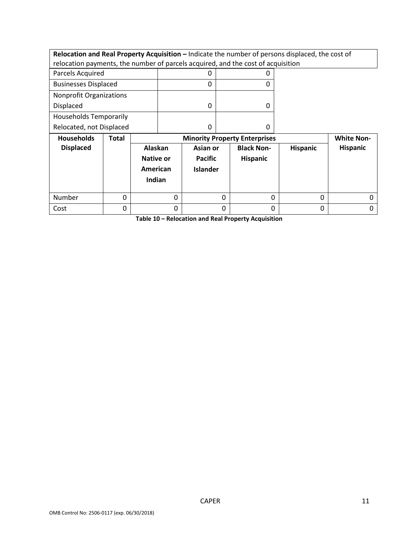**Relocation and Real Property Acquisition – Indicate the number of persons displaced, the cost of** relocation payments, the number of parcels acquired, and the cost of acquisition

| وبالملاط والمستحدث واللا      |  | <b>Bath Andrew Books Andre Fish America</b> |
|-------------------------------|--|---------------------------------------------|
| Relocated, not Displaced      |  |                                             |
| <b>Households Temporarily</b> |  |                                             |
| Displaced                     |  |                                             |
| Nonprofit Organizations       |  |                                             |
| <b>Businesses Displaced</b>   |  |                                             |
| Parcels Acquired              |  |                                             |

| <b>Households</b> | Total | <b>Minority Property Enterprises</b>              |                                               |                               | <b>White Non-</b> |                 |
|-------------------|-------|---------------------------------------------------|-----------------------------------------------|-------------------------------|-------------------|-----------------|
| <b>Displaced</b>  |       | Alaskan<br><b>Native or</b><br>American<br>Indian | Asian or<br><b>Pacific</b><br><b>Islander</b> | <b>Black Non-</b><br>Hispanic | <b>Hispanic</b>   | <b>Hispanic</b> |
| Number            | 0     |                                                   |                                               |                               | 0                 |                 |
| Cost              |       |                                                   |                                               |                               | 0                 |                 |

**Table 10 – Relocation and Real Property Acquisition**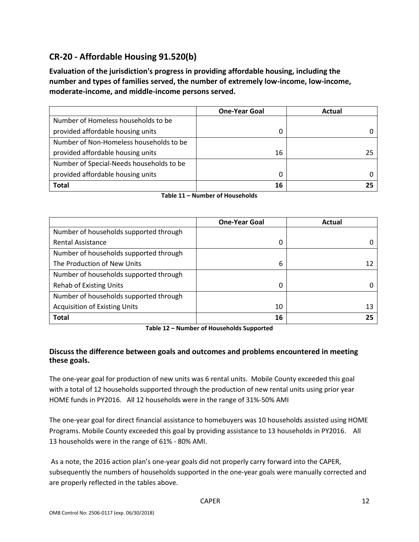### **CR-20 - Affordable Housing 91.520(b)**

**Evaluation of the jurisdiction's progress in providing affordable housing, including the number and types of families served, the number of extremely low-income, low-income, moderate-income, and middle-income persons served.**

|                                          | <b>One-Year Goal</b> | Actual |
|------------------------------------------|----------------------|--------|
| Number of Homeless households to be      |                      |        |
| provided affordable housing units        | 0                    |        |
| Number of Non-Homeless households to be  |                      |        |
| provided affordable housing units        | 16                   | 25     |
| Number of Special-Needs households to be |                      |        |
| provided affordable housing units        | 0                    |        |
| <b>Total</b>                             | 16                   |        |

**Table 11 – Number of Households**

|                                        | <b>One-Year Goal</b> | Actual |
|----------------------------------------|----------------------|--------|
| Number of households supported through |                      |        |
| <b>Rental Assistance</b>               | 0                    |        |
| Number of households supported through |                      |        |
| The Production of New Units            | 6                    |        |
| Number of households supported through |                      |        |
| <b>Rehab of Existing Units</b>         | 0                    |        |
| Number of households supported through |                      |        |
| <b>Acquisition of Existing Units</b>   | 10                   | 13     |
| <b>Total</b>                           | 16                   |        |

**Table 12 – Number of Households Supported**

### **Discuss the difference between goals and outcomes and problems encountered in meeting these goals.**

The one-year goal for production of new units was 6 rental units. Mobile County exceeded this goal with a total of 12 households supported through the production of new rental units using prior year HOME funds in PY2016. All 12 households were in the range of 31%-50% AMI

The one-year goal for direct financial assistance to homebuyers was 10 households assisted using HOME Programs. Mobile County exceeded this goal by providing assistance to 13 households in PY2016. All 13 households were in the range of 61% - 80% AMI.

As a note, the 2016 action plan's one-year goals did not properly carry forward into the CAPER, subsequently the numbers of households supported in the one-year goals were manually corrected and are properly reflected in the tables above.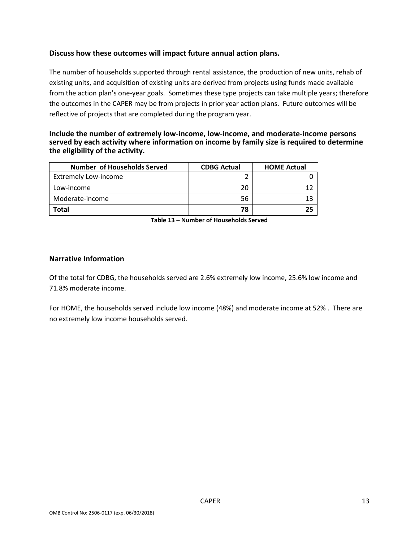### **Discuss how these outcomes will impact future annual action plans.**

The number of households supported through rental assistance, the production of new units, rehab of existing units, and acquisition of existing units are derived from projects using funds made available from the action plan's one-year goals. Sometimes these type projects can take multiple years; therefore the outcomes in the CAPER may be from projects in prior year action plans. Future outcomes will be reflective of projects that are completed during the program year.

#### **Include the number of extremely low-income, low-income, and moderate-income persons served by each activity where information on income by family size is required to determine the eligibility of the activity.**

| <b>Number of Households Served</b> | <b>CDBG Actual</b> | <b>HOME Actual</b> |
|------------------------------------|--------------------|--------------------|
| <b>Extremely Low-income</b>        |                    |                    |
| Low-income                         | 20                 |                    |
| Moderate-income                    | 56                 |                    |
| <b>Total</b>                       | 78                 | 25                 |

**Table 13 – Number of Households Served**

#### **Narrative Information**

Of the total for CDBG, the households served are 2.6% extremely low income, 25.6% low income and 71.8% moderate income.

For HOME, the households served include low income (48%) and moderate income at 52% . There are no extremely low income households served.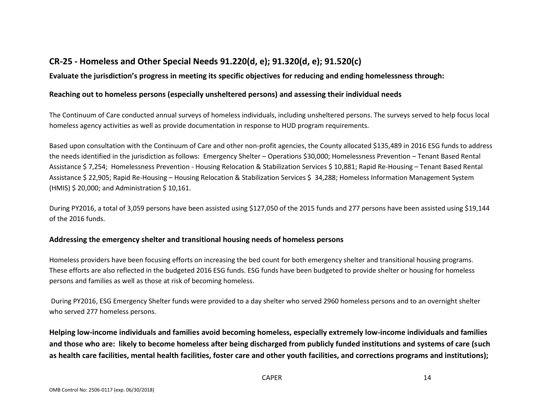### **CR-25 - Homeless and Other Special Needs 91.220(d, e); 91.320(d, e); 91.520(c)**

### **Evaluate the jurisdiction's progress in meeting its specific objectives for reducing and ending homelessness through:**

### **Reaching out to homeless persons (especially unsheltered persons) and assessing their individual needs**

The Continuum of Care conducted annual surveys of homeless individuals, including unsheltered persons. The surveys served to help focus local homeless agency activities as well as provide documentation in response to HUD program requirements.

Based upon consultation with the Continuum of Care and other non-profit agencies, the County allocated \$135,489 in 2016 ESG funds to address the needs identified in the jurisdiction as follows: Emergency Shelter – Operations \$30,000; Homelessness Prevention – Tenant Based Rental Assistance \$ 7,254; Homelessness Prevention - Housing Relocation & Stabilization Services \$ 10,881; Rapid Re-Housing – Tenant Based Rental Assistance \$ 22,905; Rapid Re-Housing – Housing Relocation & Stabilization Services \$ 34,288; Homeless Information Management System (HMIS) \$ 20,000; and Administration \$ 10,161.

During PY2016, a total of 3,059 persons have been assisted using \$127,050 of the 2015 funds and 277 persons have been assisted using \$19,144 of the 2016 funds.

### **Addressing the emergency shelter and transitional housing needs of homeless persons**

Homeless providers have been focusing efforts on increasing the bed count for both emergency shelter and transitional housing programs. These efforts are also reflected in the budgeted 2016 ESG funds. ESG funds have been budgeted to provide shelter or housing for homeless persons and families as well as those at risk of becoming homeless.

During PY2016, ESG Emergency Shelter funds were provided to a day shelter who served 2960 homeless persons and to an overnight shelter who served 277 homeless persons.

**Helping low-income individuals and families avoid becoming homeless, especially extremely low-income individuals and families and those who are: likely to become homeless after being discharged from publicly funded institutions and systems of care (such as health care facilities, mental health facilities, foster care and other youth facilities, and corrections programs and institutions);**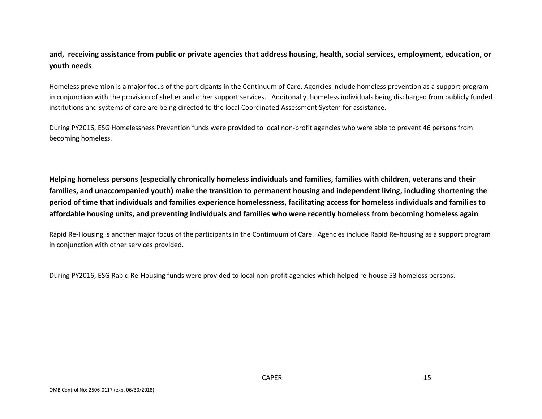### **and, receiving assistance from public or private agencies that address housing, health, social services, employment, education, or youth needs**

Homeless prevention is a major focus of the participants in the Continuum of Care. Agencies include homeless prevention as a support program in conjunction with the provision of shelter and other support services. Additonally, homeless individuals being discharged from publicly funded institutions and systems of care are being directed to the local Coordinated Assessment System for assistance.

During PY2016, ESG Homelessness Prevention funds were provided to local non-profit agencies who were able to prevent 46 persons from becoming homeless.

**Helping homeless persons (especially chronically homeless individuals and families, families with children, veterans and their families, and unaccompanied youth) make the transition to permanent housing and independent living, including shortening the period of time that individuals and families experience homelessness, facilitating access for homeless individuals and families to affordable housing units, and preventing individuals and families who were recently homeless from becoming homeless again**

Rapid Re-Housing is another major focus of the participants in the Contimuum of Care. Agencies include Rapid Re-housing as a support program in conjunction with other services provided.

During PY2016, ESG Rapid Re-Housing funds were provided to local non-profit agencies which helped re-house 53 homeless persons.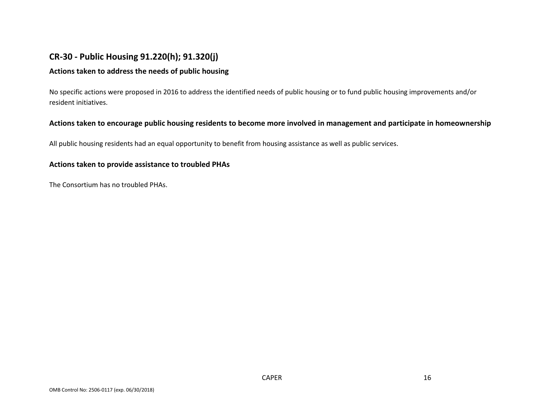### **CR-30 - Public Housing 91.220(h); 91.320(j)**

### **Actions taken to address the needs of public housing**

No specific actions were proposed in 2016 to address the identified needs of public housing or to fund public housing improvements and/or resident initiatives.

### **Actions taken to encourage public housing residents to become more involved in management and participate in homeownership**

All public housing residents had an equal opportunity to benefit from housing assistance as well as public services.

#### **Actions taken to provide assistance to troubled PHAs**

The Consortium has no troubled PHAs.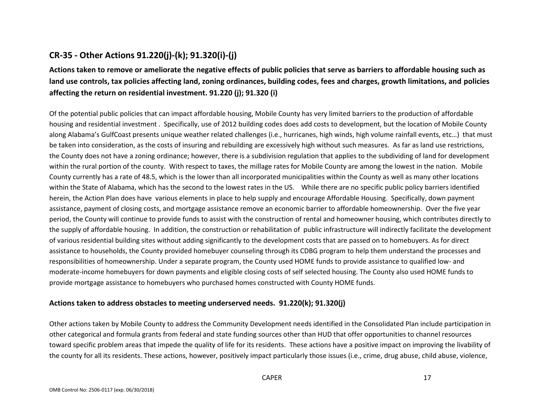### **CR-35 - Other Actions 91.220(j)-(k); 91.320(i)-(j)**

**Actions taken to remove or ameliorate the negative effects of public policies that serve as barriers to affordable housing such as land use controls, tax policies affecting land, zoning ordinances, building codes, fees and charges, growth limitations, and policies affecting the return on residential investment. 91.220 (j); 91.320 (i)**

Of the potential public policies that can impact affordable housing, Mobile County has very limited barriers to the production of affordable housing and residential investment . Specifically, use of 2012 building codes does add costs to development, but the location of Mobile County along Alabama's GulfCoast presents unique weather related challenges (i.e., hurricanes, high winds, high volume rainfall events, etc…) that must be taken into consideration, as the costs of insuring and rebuilding are excessively high without such measures. As far as land use restrictions, the County does not have a zoning ordinance; however, there is a subdivision regulation that applies to the subdividing of land for development within the rural portion of the county. With respect to taxes, the millage rates for Mobile County are among the lowest in the nation. Mobile County currently has a rate of 48.5, which is the lower than all incorporated municipalities within the County as well as many other locations within the State of Alabama, which has the second to the lowest rates in the US. While there are no specific public policy barriers identified herein, the Action Plan does have various elements in place to help supply and encourage Affordable Housing. Specifically, down payment assistance, payment of closing costs, and mortgage assistance remove an economic barrier to affordable homeownership. Over the five year period, the County will continue to provide funds to assist with the construction of rental and homeowner housing, which contributes directly to the supply of affordable housing. In addition, the construction or rehabilitation of public infrastructure will indirectly facilitate the development of various residential building sites without adding significantly to the development costs that are passed on to homebuyers. As for direct assistance to households, the County provided homebuyer counseling through its CDBG program to help them understand the processes and responsibilities of homeownership. Under a separate program, the County used HOME funds to provide assistance to qualified low- and moderate-income homebuyers for down payments and eligible closing costs of self selected housing. The County also used HOME funds to provide mortgage assistance to homebuyers who purchased homes constructed with County HOME funds.

### **Actions taken to address obstacles to meeting underserved needs. 91.220(k); 91.320(j)**

Other actions taken by Mobile County to address the Community Development needs identified in the Consolidated Plan include participation in other categorical and formula grants from federal and state funding sources other than HUD that offer opportunities to channel resources toward specific problem areas that impede the quality of life for its residents. These actions have a positive impact on improving the livability of the county for all its residents. These actions, however, positively impact particularly those issues (i.e., crime, drug abuse, child abuse, violence,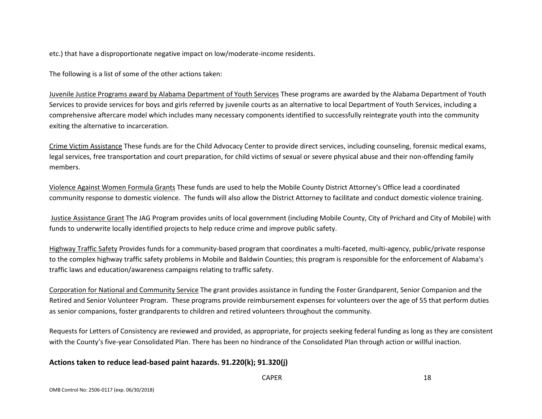etc.) that have a disproportionate negative impact on low/moderate-income residents.

The following is a list of some of the other actions taken:

Juvenile Justice Programs award by Alabama Department of Youth Services These programs are awarded by the Alabama Department of Youth Services to provide services for boys and girls referred by juvenile courts as an alternative to local Department of Youth Services, including a comprehensive aftercare model which includes many necessary components identified to successfully reintegrate youth into the community exiting the alternative to incarceration.

Crime Victim Assistance These funds are for the Child Advocacy Center to provide direct services, including counseling, forensic medical exams, legal services, free transportation and court preparation, for child victims of sexual or severe physical abuse and their non-offending family members.

Violence Against Women Formula Grants These funds are used to help the Mobile County District Attorney's Office lead a coordinated community response to domestic violence. The funds will also allow the District Attorney to facilitate and conduct domestic violence training.

Justice Assistance Grant The JAG Program provides units of local government (including Mobile County, City of Prichard and City of Mobile) with funds to underwrite locally identified projects to help reduce crime and improve public safety.

Highway Traffic Safety Provides funds for a community-based program that coordinates a multi-faceted, multi-agency, public/private response to the complex highway traffic safety problems in Mobile and Baldwin Counties; this program is responsible for the enforcement of Alabama's traffic laws and education/awareness campaigns relating to traffic safety.

Corporation for National and Community Service The grant provides assistance in funding the Foster Grandparent, Senior Companion and the Retired and Senior Volunteer Program. These programs provide reimbursement expenses for volunteers over the age of 55 that perform duties as senior companions, foster grandparents to children and retired volunteers throughout the community.

Requests for Letters of Consistency are reviewed and provided, as appropriate, for projects seeking federal funding as long as they are consistent with the County's five-year Consolidated Plan. There has been no hindrance of the Consolidated Plan through action or willful inaction.

### **Actions taken to reduce lead-based paint hazards. 91.220(k); 91.320(j)**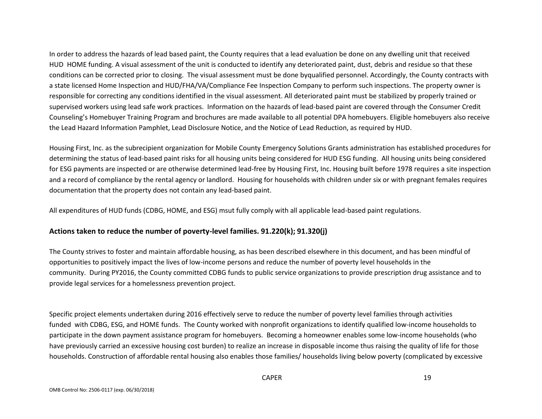In order to address the hazards of lead based paint, the County requires that a lead evaluation be done on any dwelling unit that received HUD HOME funding. A visual assessment of the unit is conducted to identify any deteriorated paint, dust, debris and residue so that these conditions can be corrected prior to closing. The visual assessment must be done byqualified personnel. Accordingly, the County contracts with a state licensed Home Inspection and HUD/FHA/VA/Compliance Fee Inspection Company to perform such inspections. The property owner is responsible for correcting any conditions identified in the visual assessment. All deteriorated paint must be stabilized by properly trained or supervised workers using lead safe work practices. Information on the hazards of lead-based paint are covered through the Consumer Credit Counseling's Homebuyer Training Program and brochures are made available to all potential DPA homebuyers. Eligible homebuyers also receive the Lead Hazard Information Pamphlet, Lead Disclosure Notice, and the Notice of Lead Reduction, as required by HUD.

Housing First, Inc. as the subrecipient organization for Mobile County Emergency Solutions Grants administration has established procedures for determining the status of lead-based paint risks for all housing units being considered for HUD ESG funding. All housing units being considered for ESG payments are inspected or are otherwise determined lead-free by Housing First, Inc. Housing built before 1978 requires a site inspection and a record of compliance by the rental agency or landlord. Housing for households with children under six or with pregnant females requires documentation that the property does not contain any lead-based paint.

All expenditures of HUD funds (CDBG, HOME, and ESG) msut fully comply with all applicable lead-based paint regulations.

#### **Actions taken to reduce the number of poverty-level families. 91.220(k); 91.320(j)**

The County strives to foster and maintain affordable housing, as has been described elsewhere in this document, and has been mindful of opportunities to positively impact the lives of low-income persons and reduce the number of poverty level households in the community. During PY2016, the County committed CDBG funds to public service organizations to provide prescription drug assistance and to provide legal services for a homelessness prevention project.

Specific project elements undertaken during 2016 effectively serve to reduce the number of poverty level families through activities funded with CDBG, ESG, and HOME funds. The County worked with nonprofit organizations to identify qualified low-income households to participate in the down payment assistance program for homebuyers. Becoming a homeowner enables some low-income households (who have previously carried an excessive housing cost burden) to realize an increase in disposable income thus raising the quality of life for those households. Construction of affordable rental housing also enables those families/ households living below poverty (complicated by excessive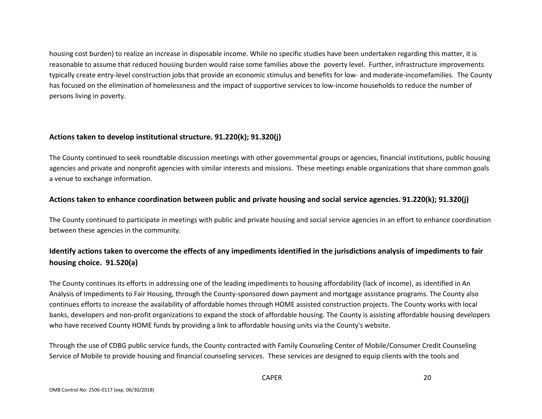housing cost burden) to realize an increase in disposable income. While no specific studies have been undertaken regarding this matter, it is reasonable to assume that reduced housing burden would raise some families above the poverty level. Further, infrastructure improvements typically create entry-level construction jobs that provide an economic stimulus and benefits for low- and moderate-incomefamilies. The County has focused on the elimination of homelessness and the impact of supportive services to low-income households to reduce the number of persons living in poverty.

### **Actions taken to develop institutional structure. 91.220(k); 91.320(j)**

The County continued to seek roundtable discussion meetings with other governmental groups or agencies, financial institutions, public housing agencies and private and nonprofit agencies with similar interests and missions. These meetings enable organizations that share common goals a venue to exchange information.

### **Actions taken to enhance coordination between public and private housing and social service agencies. 91.220(k); 91.320(j)**

The County continued to participate in meetings with public and private housing and social service agencies in an effort to enhance coordination between these agencies in the community.

### **Identify actions taken to overcome the effects of any impediments identified in the jurisdictions analysis of impediments to fair housing choice. 91.520(a)**

The County continues its efforts in addressing one of the leading impediments to housing affordability (lack of income), as identified in An Analysis of Impediments to Fair Housing, through the County-sponsored down payment and mortgage assistance programs. The County also continues efforts to increase the availability of affordable homes through HOME assisted construction projects. The County works with local banks, developers and non-profit organizations to expand the stock of affordable housing. The County is assisting affordable housing developers who have received County HOME funds by providing a link to affordable housing units via the County's website.

Through the use of CDBG public service funds, the County contracted with Family Counseling Center of Mobile/Consumer Credit Counseling Service of Mobile to provide housing and financial counseling services. These services are designed to equip clients with the tools and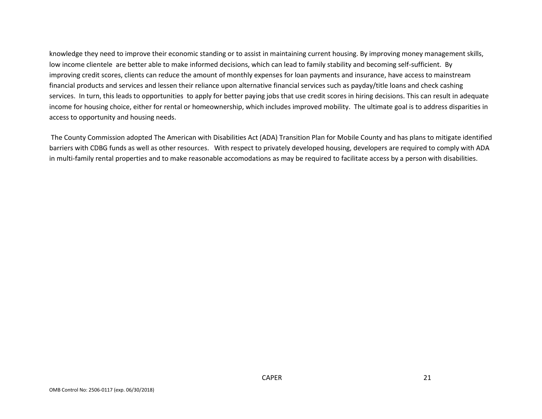knowledge they need to improve their economic standing or to assist in maintaining current housing. By improving money management skills, low income clientele are better able to make informed decisions, which can lead to family stability and becoming self-sufficient. By improving credit scores, clients can reduce the amount of monthly expenses for loan payments and insurance, have access to mainstream financial products and services and lessen their reliance upon alternative financial services such as payday/title loans and check cashing services. In turn, this leads to opportunities to apply for better paying jobs that use credit scores in hiring decisions. This can result in adequate income for housing choice, either for rental or homeownership, which includes improved mobility. The ultimate goal is to address disparities in access to opportunity and housing needs.

The County Commission adopted The American with Disabilities Act (ADA) Transition Plan for Mobile County and has plans to mitigate identified barriers with CDBG funds as well as other resources. With respect to privately developed housing, developers are required to comply with ADA in multi-family rental properties and to make reasonable accomodations as may be required to facilitate access by a person with disabilities.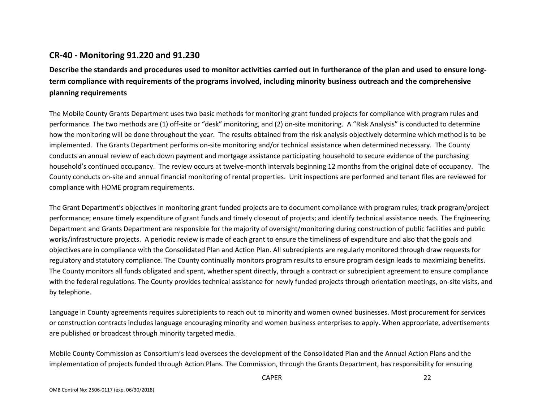### **CR-40 - Monitoring 91.220 and 91.230**

**Describe the standards and procedures used to monitor activities carried out in furtherance of the plan and used to ensure longterm compliance with requirements of the programs involved, including minority business outreach and the comprehensive planning requirements**

The Mobile County Grants Department uses two basic methods for monitoring grant funded projects for compliance with program rules and performance. The two methods are (1) off-site or "desk" monitoring, and (2) on-site monitoring. A "Risk Analysis" is conducted to determine how the monitoring will be done throughout the year. The results obtained from the risk analysis objectively determine which method is to be implemented. The Grants Department performs on-site monitoring and/or technical assistance when determined necessary. The County conducts an annual review of each down payment and mortgage assistance participating household to secure evidence of the purchasing household's continued occupancy. The review occurs at twelve-month intervals beginning 12 months from the original date of occupancy. The County conducts on-site and annual financial monitoring of rental properties. Unit inspections are performed and tenant files are reviewed for compliance with HOME program requirements.

The Grant Department's objectives in monitoring grant funded projects are to document compliance with program rules; track program/project performance; ensure timely expenditure of grant funds and timely closeout of projects; and identify technical assistance needs. The Engineering Department and Grants Department are responsible for the majority of oversight/monitoring during construction of public facilities and public works/infrastructure projects. A periodic review is made of each grant to ensure the timeliness of expenditure and also that the goals and objectives are in compliance with the Consolidated Plan and Action Plan. All subrecipients are regularly monitored through draw requests for regulatory and statutory compliance. The County continually monitors program results to ensure program design leads to maximizing benefits. The County monitors all funds obligated and spent, whether spent directly, through a contract or subrecipient agreement to ensure compliance with the federal regulations. The County provides technical assistance for newly funded projects through orientation meetings, on-site visits, and by telephone.

Language in County agreements requires subrecipients to reach out to minority and women owned businesses. Most procurement for services or construction contracts includes language encouraging minority and women business enterprises to apply. When appropriate, advertisements are published or broadcast through minority targeted media.

Mobile County Commission as Consortium's lead oversees the development of the Consolidated Plan and the Annual Action Plans and the implementation of projects funded through Action Plans. The Commission, through the Grants Department, has responsibility for ensuring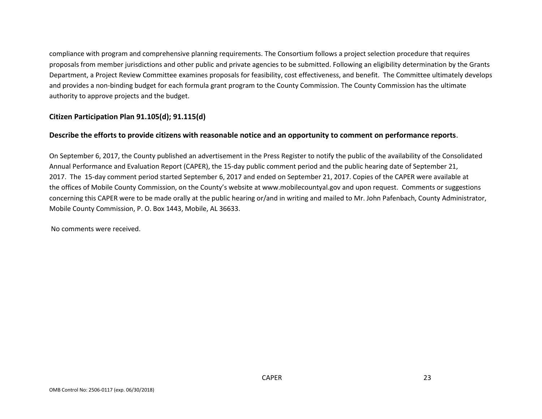compliance with program and comprehensive planning requirements. The Consortium follows a project selection procedure that requires proposals from member jurisdictions and other public and private agencies to be submitted. Following an eligibility determination by the Grants Department, a Project Review Committee examines proposals for feasibility, cost effectiveness, and benefit. The Committee ultimately develops and provides a non-binding budget for each formula grant program to the County Commission. The County Commission has the ultimate authority to approve projects and the budget.

### **Citizen Participation Plan 91.105(d); 91.115(d)**

#### **Describe the efforts to provide citizens with reasonable notice and an opportunity to comment on performance reports**.

On September 6, 2017, the County published an advertisement in the Press Register to notify the public of the availability of the Consolidated Annual Performance and Evaluation Report (CAPER), the 15-day public comment period and the public hearing date of September 21, 2017. The 15-day comment period started September 6, 2017 and ended on September 21, 2017. Copies of the CAPER were available at the offices of Mobile County Commission, on the County's website at www.mobilecountyal.gov and upon request. Comments or suggestions concerning this CAPER were to be made orally at the public hearing or/and in writing and mailed to Mr. John Pafenbach, County Administrator, Mobile County Commission, P. O. Box 1443, Mobile, AL 36633.

No comments were received.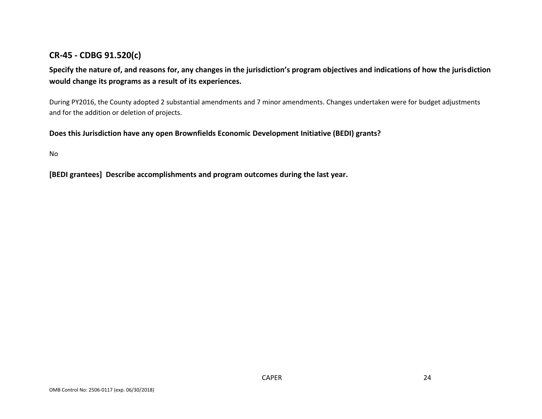### **CR-45 - CDBG 91.520(c)**

**Specify the nature of, and reasons for, any changes in the jurisdiction's program objectives and indications of how the jurisdiction would change its programs as a result of its experiences.**

During PY2016, the County adopted 2 substantial amendments and 7 minor amendments. Changes undertaken were for budget adjustments and for the addition or deletion of projects.

**Does this Jurisdiction have any open Brownfields Economic Development Initiative (BEDI) grants?**

No

**[BEDI grantees] Describe accomplishments and program outcomes during the last year.**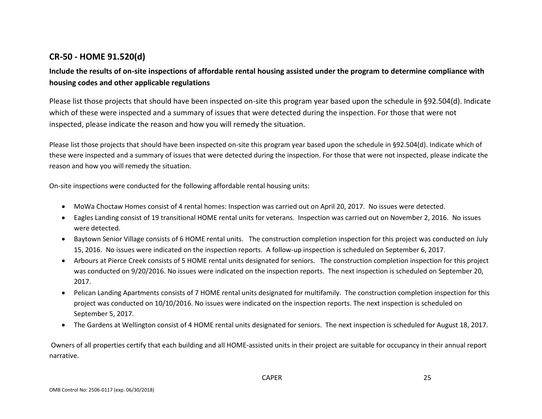### **CR-50 - HOME 91.520(d)**

### **Include the results of on-site inspections of affordable rental housing assisted under the program to determine compliance with housing codes and other applicable regulations**

Please list those projects that should have been inspected on-site this program year based upon the schedule in §92.504(d). Indicate which of these were inspected and a summary of issues that were detected during the inspection. For those that were not inspected, please indicate the reason and how you will remedy the situation.

Please list those projects that should have been inspected on-site this program year based upon the schedule in §92.504(d). Indicate which of these were inspected and a summary of issues that were detected during the inspection. For those that were not inspected, please indicate the reason and how you will remedy the situation.

On-site inspections were conducted for the following affordable rental housing units:

- MoWa Choctaw Homes consist of 4 rental homes: Inspection was carried out on April 20, 2017. No issues were detected.
- Eagles Landing consist of 19 transitional HOME rental units for veterans. Inspection was carried out on November 2, 2016. No issues were detected.
- Baytown Senior Village consists of 6 HOME rental units. The construction completion inspection for this project was conducted on July 15, 2016. No issues were indicated on the inspection reports. A follow-up inspection is scheduled on September 6, 2017.
- Arbours at Pierce Creek consists of 5 HOME rental units designated for seniors. The construction completion inspection for this project was conducted on 9/20/2016. No issues were indicated on the inspection reports. The next inspection is scheduled on September 20, 2017.
- Pelican Landing Apartments consists of 7 HOME rental units designated for multifamily. The construction completion inspection for this project was conducted on 10/10/2016. No issues were indicated on the inspection reports. The next inspection is scheduled on September 5, 2017.
- The Gardens at Wellington consist of 4 HOME rental units designated for seniors. The next inspection is scheduled for August 18, 2017.

Owners of all properties certify that each building and all HOME-assisted units in their project are suitable for occupancy in their annual report narrative.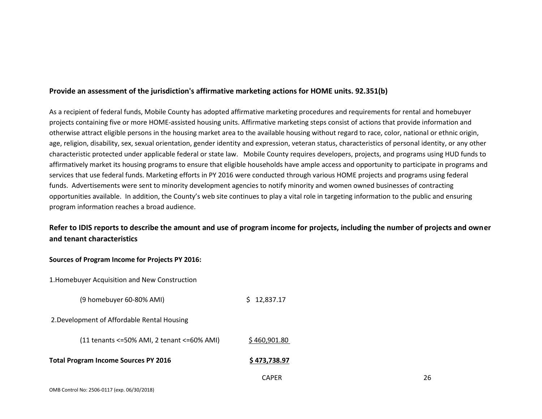#### **Provide an assessment of the jurisdiction's affirmative marketing actions for HOME units. 92.351(b)**

As a recipient of federal funds, Mobile County has adopted affirmative marketing procedures and requirements for rental and homebuyer projects containing five or more HOME-assisted housing units. Affirmative marketing steps consist of actions that provide information and otherwise attract eligible persons in the housing market area to the available housing without regard to race, color, national or ethnic origin, age, religion, disability, sex, sexual orientation, gender identity and expression, veteran status, characteristics of personal identity, or any other characteristic protected under applicable federal or state law. Mobile County requires developers, projects, and programs using HUD funds to affirmatively market its housing programs to ensure that eligible households have ample access and opportunity to participate in programs and services that use federal funds. Marketing efforts in PY 2016 were conducted through various HOME projects and programs using federal funds. Advertisements were sent to minority development agencies to notify minority and women owned businesses of contracting opportunities available. In addition, the County's web site continues to play a vital role in targeting information to the public and ensuring program information reaches a broad audience.

### **Refer to IDIS reports to describe the amount and use of program income for projects, including the number of projects and owner and tenant characteristics**

1.Homebuyer Acquisition and New Construction

(9 homebuyer 60-80% AMI) \$ 12,837.17

2.Development of Affordable Rental Housing

| (11 tenants <= 50% AMI, 2 tenant <= 60% AMI) | \$460,901.80 |
|----------------------------------------------|--------------|
|----------------------------------------------|--------------|

- **Total Program Income Sources PY 2016 1998 12016** \$473,738.97
	- CAPER 26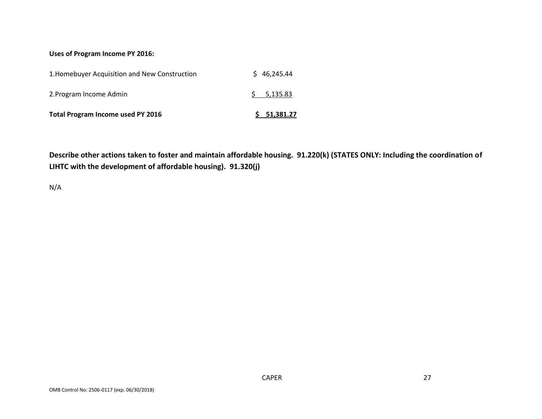#### **Uses of Program Income PY 2016:**

| <b>Total Program Income used PY 2016</b>      | \$1,381.27  |
|-----------------------------------------------|-------------|
| 2. Program Income Admin                       | 5, 135.83   |
| 1. Homebuyer Acquisition and New Construction | \$46.245.44 |

**Describe other actions taken to foster and maintain affordable housing. 91.220(k) (STATES ONLY: Including the coordination of LIHTC with the development of affordable housing). 91.320(j)**

N/A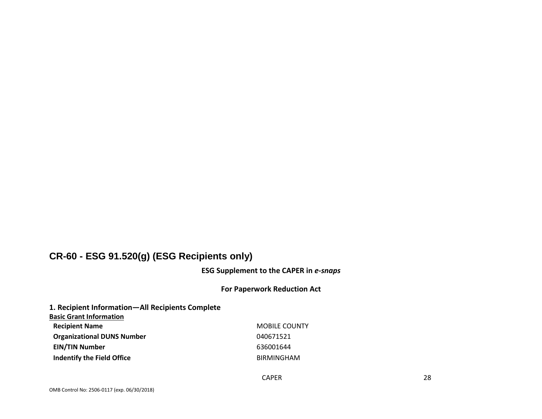### **CR-60 - ESG 91.520(g) (ESG Recipients only)**

**ESG Supplement to the CAPER in** *e-snaps*

#### **For Paperwork Reduction Act**

### **1. Recipient Information—All Recipients Complete**

**Basic Grant Information**

**Recipient Name** MOBILE COUNTY **Organizational DUNS Number** 040671521 **EIN/TIN Number** 636001644 **Indentify the Field Office All and Structure BIRMINGHAM**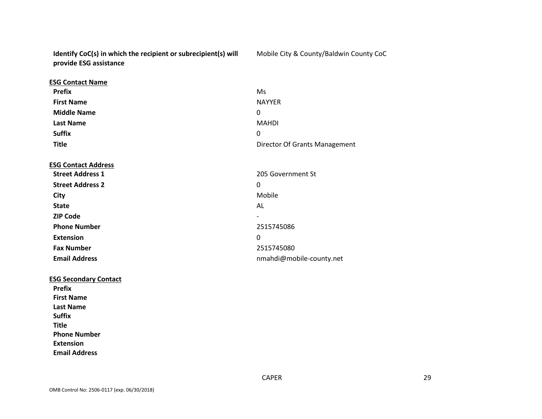**Identify CoC(s) in which the recipient or subrecipient(s) will provide ESG assistance**

Mobile City & County/Baldwin County CoC

| <b>ESG Contact Name</b>      |                               |
|------------------------------|-------------------------------|
| <b>Prefix</b>                | Ms                            |
| <b>First Name</b>            | <b>NAYYER</b>                 |
| <b>Middle Name</b>           | 0                             |
| <b>Last Name</b>             | <b>MAHDI</b>                  |
| <b>Suffix</b>                | $\Omega$                      |
| <b>Title</b>                 | Director Of Grants Management |
| <b>ESG Contact Address</b>   |                               |
| <b>Street Address 1</b>      | 205 Government St             |
| <b>Street Address 2</b>      | 0                             |
| City                         | Mobile                        |
| <b>State</b>                 | AL                            |
| <b>ZIP Code</b>              |                               |
| <b>Phone Number</b>          | 2515745086                    |
| <b>Extension</b>             | 0                             |
| <b>Fax Number</b>            | 2515745080                    |
| <b>Email Address</b>         | nmahdi@mobile-county.net      |
| <b>ESG Secondary Contact</b> |                               |
| <b>Prefix</b>                |                               |
| <b>First Name</b>            |                               |

**First Name Last Name Suffix Title Phone Number Extension Email Address**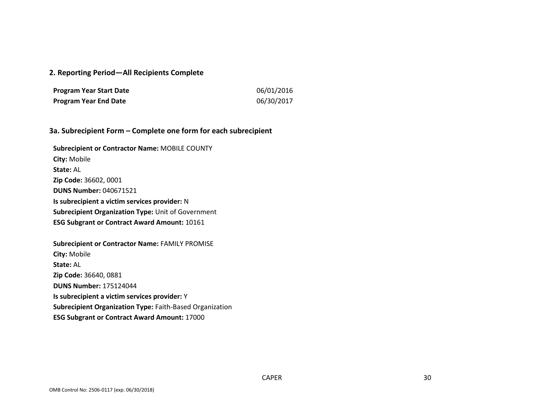#### **2. Reporting Period—All Recipients Complete**

| <b>Program Year Start Date</b> | 06/01/2016 |
|--------------------------------|------------|
| <b>Program Year End Date</b>   | 06/30/2017 |

#### **3a. Subrecipient Form – Complete one form for each subrecipient**

**Subrecipient or Contractor Name:** MOBILE COUNTY **City:** Mobile **State:** AL **Zip Code:** 36602, 0001 **DUNS Number:** 040671521 **Is subrecipient a victim services provider:** N **Subrecipient Organization Type:** Unit of Government **ESG Subgrant or Contract Award Amount:** 10161

**Subrecipient or Contractor Name:** FAMILY PROMISE **City:** Mobile **State:** AL **Zip Code:** 36640, 0881 **DUNS Number:** 175124044 **Is subrecipient a victim services provider:** Y **Subrecipient Organization Type:** Faith-Based Organization **ESG Subgrant or Contract Award Amount:** 17000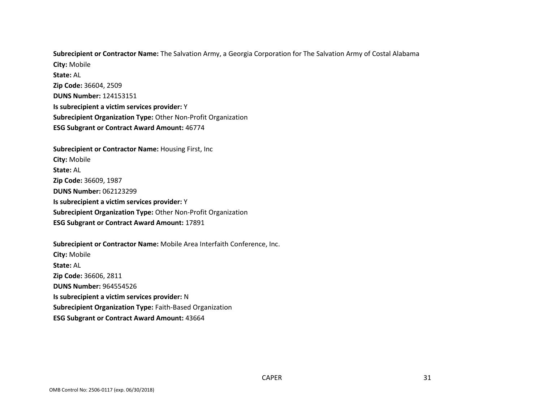**Subrecipient or Contractor Name:** The Salvation Army, a Georgia Corporation for The Salvation Army of Costal Alabama **City:** Mobile **State:** AL **Zip Code:** 36604, 2509 **DUNS Number:** 124153151 **Is subrecipient a victim services provider:** Y **Subrecipient Organization Type:** Other Non-Profit Organization

**ESG Subgrant or Contract Award Amount:** 46774

**Subrecipient or Contractor Name:** Housing First, Inc **City:** Mobile **State:** AL **Zip Code:** 36609, 1987 **DUNS Number:** 062123299 **Is subrecipient a victim services provider:** Y **Subrecipient Organization Type:** Other Non-Profit Organization **ESG Subgrant or Contract Award Amount:** 17891

**Subrecipient or Contractor Name:** Mobile Area Interfaith Conference, Inc. **City:** Mobile **State:** AL **Zip Code:** 36606, 2811 **DUNS Number:** 964554526 **Is subrecipient a victim services provider:** N **Subrecipient Organization Type:** Faith-Based Organization **ESG Subgrant or Contract Award Amount:** 43664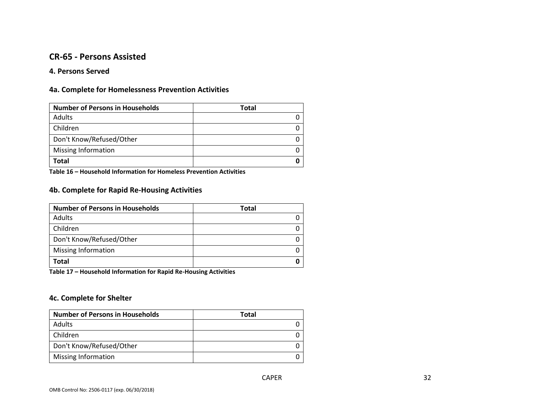### **CR-65 - Persons Assisted**

#### **4. Persons Served**

### **4a. Complete for Homelessness Prevention Activities**

| <b>Number of Persons in Households</b> | <b>Total</b> |
|----------------------------------------|--------------|
| Adults                                 |              |
| Children                               |              |
| Don't Know/Refused/Other               |              |
| Missing Information                    |              |
| Total                                  |              |

**Table 16 – Household Information for Homeless Prevention Activities**

### **4b. Complete for Rapid Re-Housing Activities**

| <b>Number of Persons in Households</b> | <b>Total</b> |
|----------------------------------------|--------------|
| Adults                                 |              |
| Children                               |              |
| Don't Know/Refused/Other               |              |
| Missing Information                    |              |
| Total                                  |              |

**Table 17 – Household Information for Rapid Re-Housing Activities**

#### **4c. Complete for Shelter**

| <b>Number of Persons in Households</b> | <b>Total</b> |
|----------------------------------------|--------------|
| Adults                                 |              |
| Children                               |              |
| Don't Know/Refused/Other               |              |
| <b>Missing Information</b>             |              |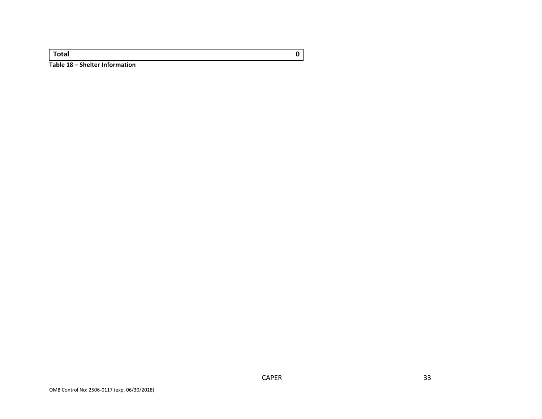| Total                          |  |
|--------------------------------|--|
| Table 18 - Shelter Information |  |

OMB Control No: 2506-0117 (exp. 06/30/2018)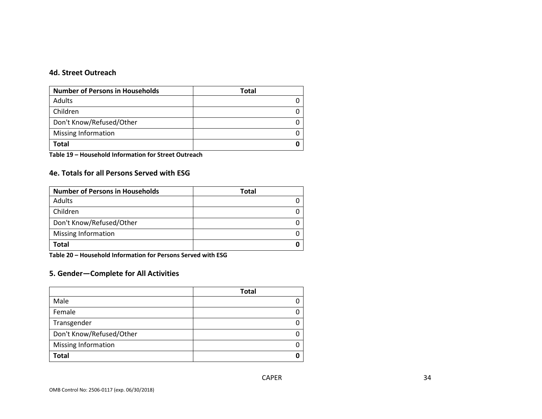### **4d. Street Outreach**

| <b>Number of Persons in Households</b> | Total |
|----------------------------------------|-------|
| Adults                                 |       |
| Children                               |       |
| Don't Know/Refused/Other               |       |
| <b>Missing Information</b>             |       |
| Total                                  |       |

**Table 19 – Household Information for Street Outreach** 

### **4e. Totals for all Persons Served with ESG**

| <b>Number of Persons in Households</b> | Total |
|----------------------------------------|-------|
| Adults                                 |       |
| Children                               |       |
| Don't Know/Refused/Other               |       |
| <b>Missing Information</b>             |       |
| Total                                  |       |

**Table 20 – Household Information for Persons Served with ESG**

### **5. Gender—Complete for All Activities**

|                          | <b>Total</b> |
|--------------------------|--------------|
| Male                     | 0            |
| Female                   | 0            |
| Transgender              | 0            |
| Don't Know/Refused/Other | 0            |
| Missing Information      | 0            |
| <b>Total</b>             | O            |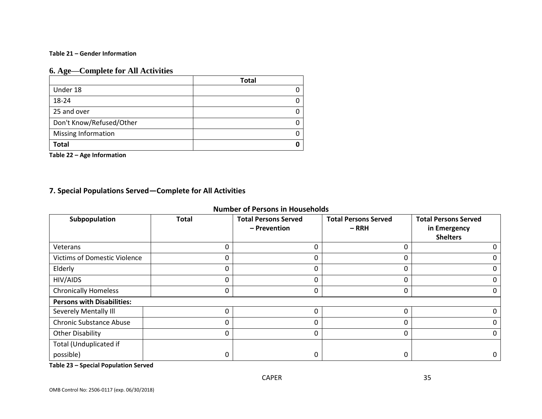#### **Table 21 – Gender Information**

### **6. Age—Complete for All Activities**

|                            | <b>Total</b> |
|----------------------------|--------------|
| Under 18                   |              |
| 18-24                      |              |
| 25 and over                | ი            |
| Don't Know/Refused/Other   |              |
| <b>Missing Information</b> | O            |
| <b>Total</b>               | n            |

**Table 22 – Age Information**

### **7. Special Populations Served—Complete for All Activities**

|  |  | <b>Number of Persons in Households</b> |  |
|--|--|----------------------------------------|--|
|--|--|----------------------------------------|--|

| Subpopulation                       | <b>Total</b> | <b>Total Persons Served</b> | <b>Total Persons Served</b> | <b>Total Persons Served</b> |
|-------------------------------------|--------------|-----------------------------|-----------------------------|-----------------------------|
|                                     |              | - Prevention                | $-RRH$                      | in Emergency                |
|                                     |              |                             |                             | <b>Shelters</b>             |
| Veterans                            |              | 0                           |                             | 0                           |
| <b>Victims of Domestic Violence</b> | 0            | 0                           | 0                           | $\mathbf 0$                 |
| Elderly                             | 0            | 0                           | 0                           | $\mathbf 0$                 |
| HIV/AIDS                            | 0            | 0                           | 0                           | $\mathbf 0$                 |
| <b>Chronically Homeless</b>         |              | 0                           | 0                           | $\mathbf 0$                 |
| <b>Persons with Disabilities:</b>   |              |                             |                             |                             |
| Severely Mentally Ill               |              | 0                           | 0                           | $\mathbf 0$                 |
| <b>Chronic Substance Abuse</b>      |              | 0                           | 0                           | $\mathbf 0$                 |
| Other Disability                    | $\Omega$     | 0                           | 0                           | $\mathbf 0$                 |
| Total (Unduplicated if              |              |                             |                             |                             |
| possible)                           |              | 0                           | 0                           | $\mathbf 0$                 |

**Table 23 – Special Population Served**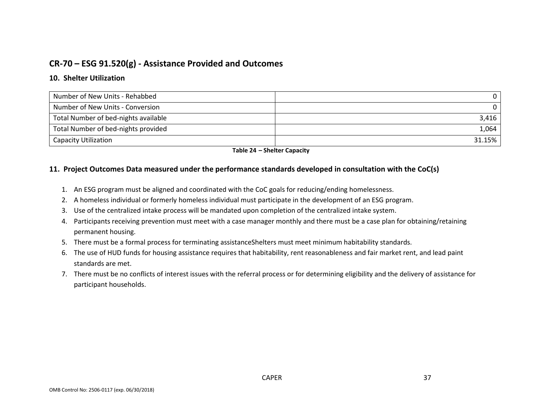### **CR-70 – ESG 91.520(g) - Assistance Provided and Outcomes**

### **10. Shelter Utilization**

| Number of New Units - Rehabbed       |        |
|--------------------------------------|--------|
| Number of New Units - Conversion     |        |
| Total Number of bed-nights available | 3,416  |
| Total Number of bed-nights provided  | 1,064  |
| <b>Capacity Utilization</b>          | 31.15% |

#### **Table 24 – Shelter Capacity**

#### **11. Project Outcomes Data measured under the performance standards developed in consultation with the CoC(s)**

- 1. An ESG program must be aligned and coordinated with the CoC goals for reducing/ending homelessness.
- 2. A homeless individual or formerly homeless individual must participate in the development of an ESG program.
- 3. Use of the centralized intake process will be mandated upon completion of the centralized intake system.
- 4. Participants receiving prevention must meet with a case manager monthly and there must be a case plan for obtaining/retaining permanent housing.
- 5. There must be a formal process for terminating assistanceShelters must meet minimum habitability standards.
- 6. The use of HUD funds for housing assistance requires that habitability, rent reasonableness and fair market rent, and lead paint standards are met.
- 7. There must be no conflicts of interest issues with the referral process or for determining eligibility and the delivery of assistance for participant households.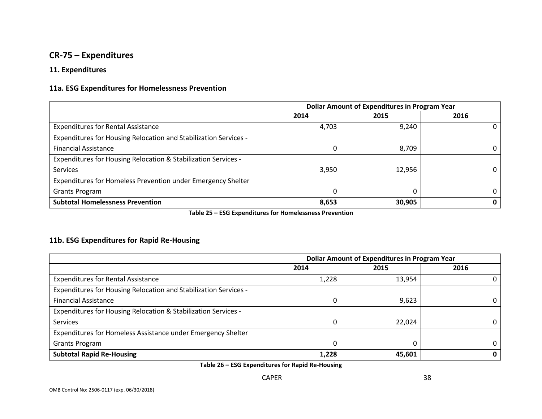### **CR-75 – Expenditures**

### **11. Expenditures**

### **11a. ESG Expenditures for Homelessness Prevention**

|                                                                  | <b>Dollar Amount of Expenditures in Program Year</b> |        |      |
|------------------------------------------------------------------|------------------------------------------------------|--------|------|
|                                                                  | 2014                                                 | 2015   | 2016 |
| <b>Expenditures for Rental Assistance</b>                        | 4,703                                                | 9,240  |      |
| Expenditures for Housing Relocation and Stabilization Services - |                                                      |        |      |
| <b>Financial Assistance</b>                                      |                                                      | 8,709  |      |
| Expenditures for Housing Relocation & Stabilization Services -   |                                                      |        |      |
| <b>Services</b>                                                  | 3,950                                                | 12,956 | 0    |
| Expenditures for Homeless Prevention under Emergency Shelter     |                                                      |        |      |
| Grants Program                                                   |                                                      |        | 0    |
| <b>Subtotal Homelessness Prevention</b>                          | 8,653                                                | 30,905 |      |

**Table 25 – ESG Expenditures for Homelessness Prevention**

### **11b. ESG Expenditures for Rapid Re-Housing**

|                                                                  | <b>Dollar Amount of Expenditures in Program Year</b> |        |      |
|------------------------------------------------------------------|------------------------------------------------------|--------|------|
|                                                                  | 2014                                                 | 2015   | 2016 |
| <b>Expenditures for Rental Assistance</b>                        | 1,228                                                | 13,954 |      |
| Expenditures for Housing Relocation and Stabilization Services - |                                                      |        |      |
| <b>Financial Assistance</b>                                      |                                                      | 9,623  |      |
| Expenditures for Housing Relocation & Stabilization Services -   |                                                      |        |      |
| <b>Services</b>                                                  |                                                      | 22,024 |      |
| Expenditures for Homeless Assistance under Emergency Shelter     |                                                      |        |      |
| <b>Grants Program</b>                                            |                                                      |        |      |
| <b>Subtotal Rapid Re-Housing</b>                                 | 1,228                                                | 45,601 | 0    |

**Table 26 – ESG Expenditures for Rapid Re-Housing**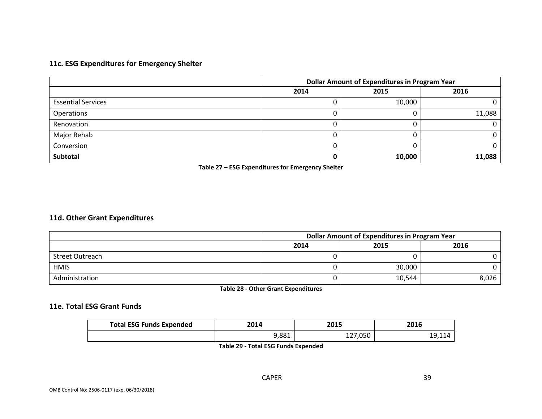### **11c. ESG Expenditures for Emergency Shelter**

|                           | <b>Dollar Amount of Expenditures in Program Year</b> |        |        |
|---------------------------|------------------------------------------------------|--------|--------|
|                           | 2014                                                 | 2015   | 2016   |
| <b>Essential Services</b> |                                                      | 10,000 |        |
| Operations                |                                                      |        | 11,088 |
| Renovation                |                                                      |        |        |
| Major Rehab               |                                                      |        |        |
| Conversion                |                                                      |        |        |
| Subtotal                  |                                                      | 10,000 | 11,088 |

**Table 27 – ESG Expenditures for Emergency Shelter**

### **11d. Other Grant Expenditures**

|                 | <b>Dollar Amount of Expenditures in Program Year</b> |        |       |
|-----------------|------------------------------------------------------|--------|-------|
|                 | 2014                                                 | 2015   | 2016  |
| Street Outreach |                                                      |        |       |
| <b>HMIS</b>     |                                                      | 30,000 |       |
| Administration  |                                                      | 10,544 | 8,026 |

**Table 28 - Other Grant Expenditures**

### **11e. Total ESG Grant Funds**

| <b>Total ESG Funds Expended</b> | 2014  | 2015 | 2016   |
|---------------------------------|-------|------|--------|
|                                 | 9,881 | ,050 | 19,114 |

**Table 29 - Total ESG Funds Expended**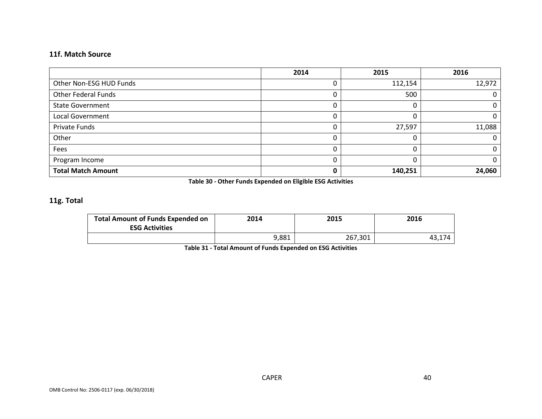### **11f. Match Source**

|                            | 2014 | 2015    | 2016   |
|----------------------------|------|---------|--------|
| Other Non-ESG HUD Funds    |      | 112,154 | 12,972 |
| <b>Other Federal Funds</b> |      | 500     |        |
| <b>State Government</b>    | 0    |         | υ      |
| <b>Local Government</b>    | 0    |         | U      |
| Private Funds              | 0    | 27,597  | 11,088 |
| Other                      | 0    |         | Ω      |
| Fees                       | 0    |         |        |
| Program Income             | 0    |         | 0      |
| <b>Total Match Amount</b>  | 0    | 140,251 | 24,060 |

**Table 30 - Other Funds Expended on Eligible ESG Activities**

### **11g. Total**

| <b>Total Amount of Funds Expended on</b><br><b>ESG Activities</b> | 2014  | 2015    | 2016  |
|-------------------------------------------------------------------|-------|---------|-------|
|                                                                   | 9,881 | 267,301 | 43,1, |

**Table 31 - Total Amount of Funds Expended on ESG Activities**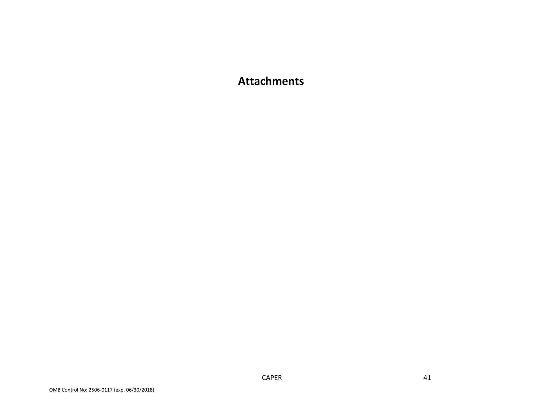## **Attachments**